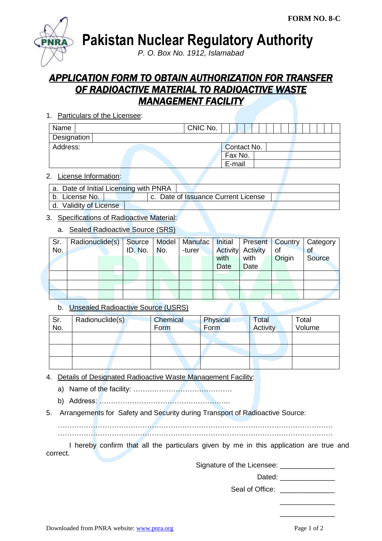

**Pakistan Nuclear Regulatory Authority**

*P. O. Box No. 1912, Islamabad*

# *APPLICATION FORM TO OBTAIN AUTHORIZATION FOR TRANSFER OF RADIOACTIVE MATERIAL TO RADIOACTIVE WASTE MANAGEMENT FACILITY*

1. Particulars of the Licensee:

| Name        |  | CNIC No. |             |  |  |  |  |  |  |
|-------------|--|----------|-------------|--|--|--|--|--|--|
| Designation |  |          |             |  |  |  |  |  |  |
| Address:    |  |          | Contact No. |  |  |  |  |  |  |
|             |  |          | Fax No.     |  |  |  |  |  |  |
|             |  |          | E-mail      |  |  |  |  |  |  |

#### 2. License Information:

| a. Date of Initial Licensing with PNRA |                                     |  |  |  |  |  |  |
|----------------------------------------|-------------------------------------|--|--|--|--|--|--|
| b.  License No.                        | c. Date of Issuance Current License |  |  |  |  |  |  |
| d. Validity of License                 |                                     |  |  |  |  |  |  |

## 3. Specifications of Radioactive Material:

#### a. Sealed Radioactive Source (SRS)

| Sr. | Radionuclide(s)   Source   Model   Manufac   Initial |               |        |      |                          |        | <b>Present   Country   Category</b> |
|-----|------------------------------------------------------|---------------|--------|------|--------------------------|--------|-------------------------------------|
| No. |                                                      | ID. No.   No. | -turer |      | <b>Activity</b> Activity | of     | <b>of</b>                           |
|     |                                                      |               |        | with | with                     | Origin | Source                              |
|     |                                                      |               |        | Date | Date                     |        |                                     |
|     |                                                      |               |        |      |                          |        |                                     |
|     |                                                      |               |        |      |                          |        |                                     |
|     |                                                      |               |        |      |                          |        |                                     |

## b. Unsealed Radioactive Source (USRS)

| Sr.<br>No. | Radionuclide(s) | Chemical<br>Form | Physical<br>Form | Total<br>Activity | Total<br>Volume |
|------------|-----------------|------------------|------------------|-------------------|-----------------|
|            |                 |                  |                  |                   |                 |
|            |                 |                  |                  |                   |                 |
|            |                 |                  |                  |                   |                 |

- 4. Details of Designated Radioactive Waste Management Facility:
	- a) Name of the facility: ……………………………………
	- b) Address: ………………………………………………..
- 5. Arrangements for Safety and Security during Transport of Radioactive Source:

……………………………………………………………………………………………………… ………………………………………………………………………………………………………

I hereby confirm that all the particulars given by me in this application are true and correct.

Signature of the Licensee: \_\_\_\_\_\_\_\_\_\_\_\_\_\_

Dated: \_\_\_\_\_\_\_\_\_\_\_\_\_\_

Seal of Office:

\_\_\_\_\_\_\_\_\_\_\_\_\_\_ \_\_\_\_\_\_\_\_\_\_\_\_\_\_